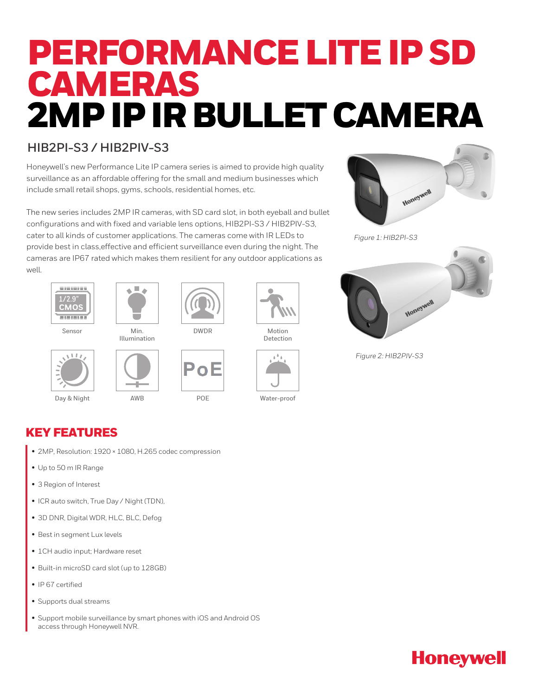# PERFORMANCE LITE IP SD CAMERAS 2MP IP IR BULLET CAMERA

#### **HIB2PI-S3 / HIB2PIV-S3**

Honeywell's new Performance Lite IP camera series is aimed to provide high quality surveillance as an affordable offering for the small and medium businesses which include small retail shops, gyms, schools, residential homes, etc.

The new series includes 2MP IR cameras, with SD card slot, in both eyeball and bullet configurations and with fixed and variable lens options, HIB2PI-S3 / HIB2PIV-S3, cater to all kinds of customer applications. The cameras come with IR LEDs to provide best in class,effective and efficient surveillance even during the night. The cameras are IP67 rated which makes them resilient for any outdoor applications as well.



Sensor

 $1.17$ 



Min.



DWDR

Illumination



Day & Night AWB POE Water-proof



Motion Detection





*Figure 1: HIB2PI-S3*



*Figure 2: HIB2PIV-S3*

KEY FEATURES

• 2MP, Resolution: 1920 × 1080, H.265 codec compression

AWB

- Up to 50 m IR Range
- 3 Region of Interest
- ICR auto switch, True Day / Night (TDN),
- 3D DNR, Digital WDR, HLC, BLC, Defog
- Best in segment Lux levels
- 1CH audio input; Hardware reset
- Built-in microSD card slot (up to 128GB)
- IP 67 certified
- Supports dual streams
- Support mobile surveillance by smart phones with iOS and Android OS access through Honeywell NVR.

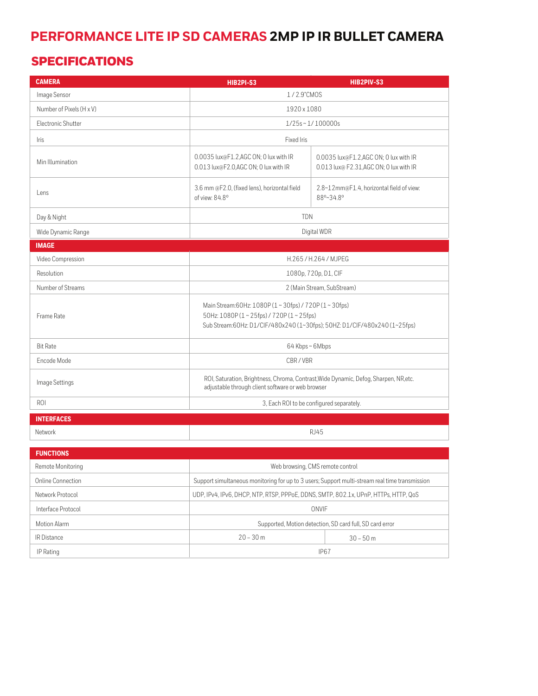## **PERFORMANCE LITE IP SD CAMERAS 2MP IP IR BULLET CAMERA**

#### SPECIFICATIONS

| <b>CAMERA</b>            | <b>HIB2PI-S3</b>                                                                                                                                                          | HIB2PIV-S3                                                                      |
|--------------------------|---------------------------------------------------------------------------------------------------------------------------------------------------------------------------|---------------------------------------------------------------------------------|
| Image Sensor             | 1/2.9"CMOS                                                                                                                                                                |                                                                                 |
| Number of Pixels (H x V) | 1920 x 1080                                                                                                                                                               |                                                                                 |
| Electronic Shutter       | $1/25s \sim 1/100000s$                                                                                                                                                    |                                                                                 |
| Iris                     | Fixed Iris                                                                                                                                                                |                                                                                 |
| Min Illumination         | 0.0035 lux@F1.2,AGC ON; 0 lux with IR<br>0.013 lux@F2.0,AGC ON; 0 lux with IR                                                                                             | 0.0035 lux@F1.2,AGC ON; 0 lux with IR<br>0.013 lux@ F2.31,AGC ON; 0 lux with IR |
| Lens                     | 3.6 mm @F2.0, (fixed lens), horizontal field<br>of view: 84.8°                                                                                                            | 2.8~12mm@F1.4, horizontal field of view:<br>88°~34.8°                           |
| Day & Night              | <b>TDN</b>                                                                                                                                                                |                                                                                 |
| Wide Dynamic Range       | Digital WDR                                                                                                                                                               |                                                                                 |
| <b>IMAGE</b>             |                                                                                                                                                                           |                                                                                 |
| Video Compression        | H.265/H.264/MJPEG                                                                                                                                                         |                                                                                 |
| Resolution               | 1080p, 720p, D1, CIF                                                                                                                                                      |                                                                                 |
| Number of Streams        | 2 (Main Stream, SubStream)                                                                                                                                                |                                                                                 |
| Frame Rate               | Main Stream:60Hz: 1080P (1~30fps) / 720P (1~30fps)<br>50Hz: 1080P (1~25fps) / 720P (1~25fps)<br>Sub Stream:60Hz: D1/CIF/480x240 (1~30fps); 50HZ: D1/CIF/480x240 (1~25fps) |                                                                                 |
| <b>Bit Rate</b>          | 64 Kbps~6Mbps                                                                                                                                                             |                                                                                 |
| Fncode Mode              | CBR/VBR                                                                                                                                                                   |                                                                                 |
| Image Settings           | ROI, Saturation, Brightness, Chroma, Contrast, Wide Dynamic, Defog, Sharpen, NR, etc.<br>adjustable through client software or web browser                                |                                                                                 |
| <b>ROI</b>               | 3, Each ROI to be configured separately.                                                                                                                                  |                                                                                 |
| <b>INTERFACES</b>        |                                                                                                                                                                           |                                                                                 |
| Network                  | <b>RJ45</b>                                                                                                                                                               |                                                                                 |
| <b>FUNCTIONS</b>         |                                                                                                                                                                           |                                                                                 |
| Remote Monitoring        |                                                                                                                                                                           |                                                                                 |
|                          | Web browsing, CMS remote control                                                                                                                                          |                                                                                 |
| Online Connection        | Support simultaneous monitoring for up to 3 users; Support multi-stream real time transmission<br>$\frac{1}{2}$                                                           |                                                                                 |

| Network Protocol   | UDP, IPv4, IPv6, DHCP, NTP, RTSP, PPPoE, DDNS, SMTP, 802.1x, UPnP, HTTPs, HTTP, QoS |             |
|--------------------|-------------------------------------------------------------------------------------|-------------|
| Interface Protocol | ONVIF                                                                               |             |
| Motion Alarm       | Supported, Motion detection, SD card full, SD card error                            |             |
| <b>IR</b> Distance | $20 - 30$ m                                                                         | $30 - 50$ m |
| IP Rating          | IP <sub>67</sub>                                                                    |             |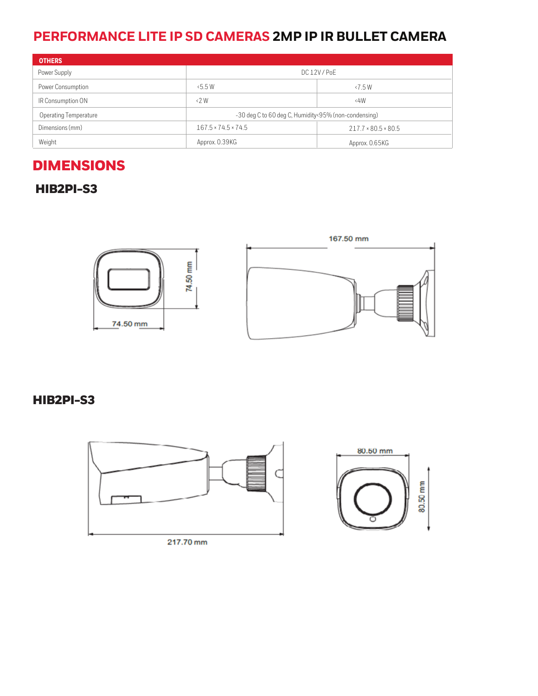### **PERFORMANCE LITE IP SD CAMERAS 2MP IP IR BULLET CAMERA**

| <b>OTHERS</b>                |                                                      |                                 |
|------------------------------|------------------------------------------------------|---------------------------------|
| Power Supply                 | DC 12V/PoE                                           |                                 |
| Power Consumption            | 5.5W                                                 | $\langle 7.5 W$                 |
| IR Consumption ON            | $\langle 2 \text{W}$                                 | 4W                              |
| <b>Operating Temperature</b> | -30 deg C to 60 deg C, Humidity<95% (non-condensing) |                                 |
| Dimensions (mm)              | $167.5 \times 74.5 \times 74.5$                      | $217.7 \times 80.5 \times 80.5$ |
| Weight                       | Approx. 0.39KG                                       | Approx. 0.65KG                  |

# DIMENSIONS

HIB2PI-S3



HIB2PI-S3



217.70 mm